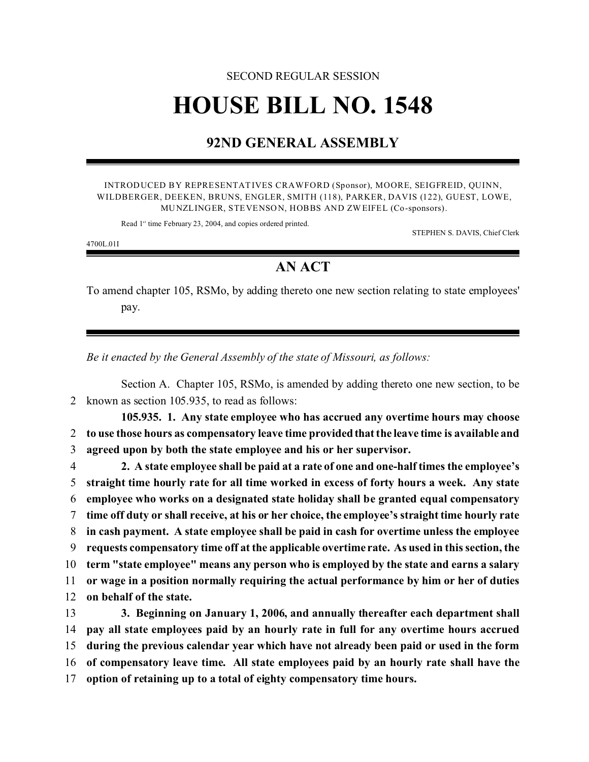## SECOND REGULAR SESSION **HOUSE BILL NO. 1548**

## **92ND GENERAL ASSEMBLY**

INTRODUCED BY REPRESENTATIVES CRAWFORD (Sponsor), MOORE, SEIGFREID, QUINN, WILDBERGER, DEEKEN, BRUNS, ENGLER, SMITH (118), PARKER, DAVIS (122), GUEST, LOWE, MUNZLINGER, STEVENSON, HOBBS AND ZW EIFEL (Co-sponsors).

Read 1<sup>st</sup> time February 23, 2004, and copies ordered printed.

STEPHEN S. DAVIS, Chief Clerk

4700L.01I

## **AN ACT**

To amend chapter 105, RSMo, by adding thereto one new section relating to state employees' pay.

*Be it enacted by the General Assembly of the state of Missouri, as follows:*

Section A. Chapter 105, RSMo, is amended by adding thereto one new section, to be 2 known as section 105.935, to read as follows:

**105.935. 1. Any state employee who has accrued any overtime hours may choose** 2 **to use those hours as compensatory leave time provided that the leave time is available and** 3 **agreed upon by both the state employee and his or her supervisor.**

 **2. A state employee shall be paid at a rate of one and one-half times the employee's straight time hourly rate for all time worked in excess of forty hours a week. Any state employee who works on a designated state holiday shall be granted equal compensatory time off duty or shall receive, at his or her choice, the employee's straight time hourly rate in cash payment. A state employee shall be paid in cash for overtime unless the employee requests compensatory time off at the applicable overtime rate. As used in this section, the term "state employee" means any person who is employed by the state and earns a salary or wage in a position normally requiring the actual performance by him or her of duties on behalf of the state.**

 **3. Beginning on January 1, 2006, and annually thereafter each department shall pay all state employees paid by an hourly rate in full for any overtime hours accrued during the previous calendar year which have not already been paid or used in the form of compensatory leave time. All state employees paid by an hourly rate shall have the option of retaining up to a total of eighty compensatory time hours.**